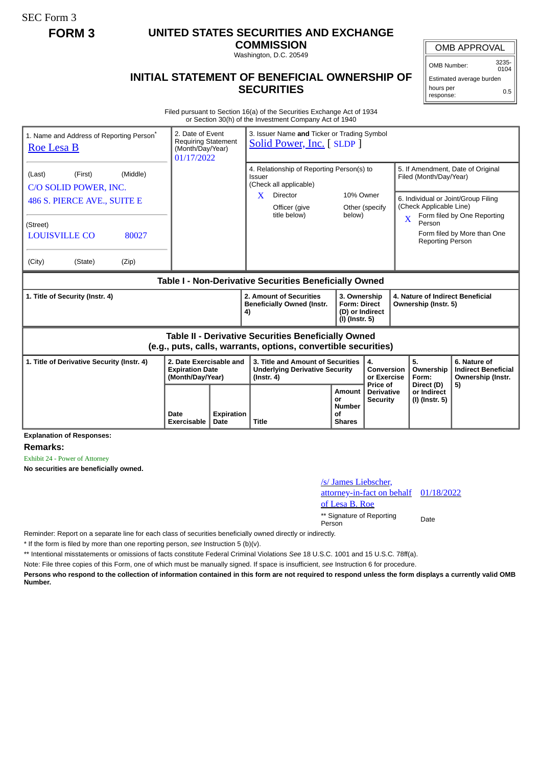SEC Form 3

# **FORM 3 UNITED STATES SECURITIES AND EXCHANGE**

**COMMISSION** Washington, D.C. 20549

### OMB APPROVAL

OMB Number: 3235-  $0104$ 

## **INITIAL STATEMENT OF BENEFICIAL OWNERSHIP OF SECURITIES**

Estimated average burden hours per response: 0.5

Filed pursuant to Section 16(a) of the Securities Exchange Act of 1934 or Section 30(h) of the Investment Company Act of 1940

| 1. Name and Address of Reporting Person <sup>®</sup><br><b>Roe Lesa B</b>                                             | 2. Date of Event<br><b>Requiring Statement</b><br>(Month/Day/Year)<br>01/17/2022 |                    | 3. Issuer Name and Ticker or Trading Symbol<br>Solid Power, Inc. [SLDP]                        |                                                                          |                                                  |                                                                                                    |                                                                 |  |
|-----------------------------------------------------------------------------------------------------------------------|----------------------------------------------------------------------------------|--------------------|------------------------------------------------------------------------------------------------|--------------------------------------------------------------------------|--------------------------------------------------|----------------------------------------------------------------------------------------------------|-----------------------------------------------------------------|--|
| (Middle)<br>(First)<br>(Last)<br>C/O SOLID POWER, INC.                                                                |                                                                                  |                    | 4. Relationship of Reporting Person(s) to<br>Issuer<br>(Check all applicable)                  |                                                                          |                                                  | 5. If Amendment, Date of Original<br>Filed (Month/Day/Year)                                        |                                                                 |  |
| 486 S. PIERCE AVE., SUITE E                                                                                           |                                                                                  |                    | X<br>Director<br>Officer (give<br>title below)                                                 | 10% Owner<br>below)                                                      | Other (specify                                   | 6. Individual or Joint/Group Filing<br>(Check Applicable Line)<br>Form filed by One Reporting<br>X |                                                                 |  |
| (Street)<br><b>LOUISVILLE CO</b><br>80027                                                                             |                                                                                  |                    |                                                                                                |                                                                          |                                                  | Person<br><b>Reporting Person</b>                                                                  | Form filed by More than One                                     |  |
| (City)<br>(State)<br>(Zip)                                                                                            |                                                                                  |                    |                                                                                                |                                                                          |                                                  |                                                                                                    |                                                                 |  |
| Table I - Non-Derivative Securities Beneficially Owned                                                                |                                                                                  |                    |                                                                                                |                                                                          |                                                  |                                                                                                    |                                                                 |  |
| 1. Title of Security (Instr. 4)                                                                                       |                                                                                  |                    | 2. Amount of Securities<br><b>Beneficially Owned (Instr.</b><br>4)                             | 3. Ownership<br><b>Form: Direct</b><br>(D) or Indirect<br>(I) (Instr. 5) |                                                  | 4. Nature of Indirect Beneficial<br>Ownership (Instr. 5)                                           |                                                                 |  |
| Table II - Derivative Securities Beneficially Owned<br>(e.g., puts, calls, warrants, options, convertible securities) |                                                                                  |                    |                                                                                                |                                                                          |                                                  |                                                                                                    |                                                                 |  |
| 2. Date Exercisable and<br>1. Title of Derivative Security (Instr. 4)<br><b>Expiration Date</b><br>(Month/Day/Year)   |                                                                                  |                    | 3. Title and Amount of Securities<br><b>Underlying Derivative Security</b><br>$($ lnstr. 4 $)$ |                                                                          | 4.<br>Conversion<br>or Exercise                  | 5.<br>Ownership<br>Form:                                                                           | 6. Nature of<br><b>Indirect Beneficial</b><br>Ownership (Instr. |  |
|                                                                                                                       | Date<br>Exercisable                                                              | Expiration<br>Date | <b>Title</b>                                                                                   | Amount<br>or<br><b>Number</b><br>of<br><b>Shares</b>                     | Price of<br><b>Derivative</b><br><b>Security</b> | Direct (D)<br>or Indirect<br>(I) (Instr. 5)                                                        | 5)                                                              |  |

**Explanation of Responses:**

**Remarks:**

Exhibit 24 - Power of Attorney

**No securities are beneficially owned.**

### /s/ James Liebscher, attorney-in-fact on behalf of Lesa B. Roe 01/18/2022 \*\* Signature of Reporting Person Date

Reminder: Report on a separate line for each class of securities beneficially owned directly or indirectly.

\* If the form is filed by more than one reporting person, *see* Instruction 5 (b)(v).

\*\* Intentional misstatements or omissions of facts constitute Federal Criminal Violations *See* 18 U.S.C. 1001 and 15 U.S.C. 78ff(a).

Note: File three copies of this Form, one of which must be manually signed. If space is insufficient, *see* Instruction 6 for procedure.

**Persons who respond to the collection of information contained in this form are not required to respond unless the form displays a currently valid OMB Number.**